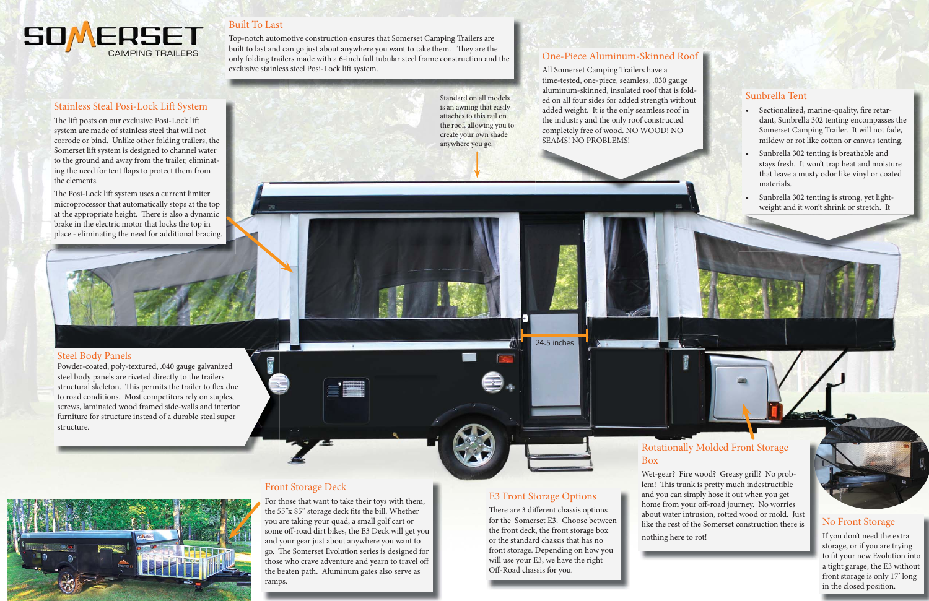### Steel Body Panels

Powder-coated, poly-textured, .040 gauge galvanized steel body panels are riveted directly to the trailers structural skeleton. This permits the trailer to flex due to road conditions. Most competitors rely on staples, screws, laminated wood framed side-walls and interior furniture for structure instead of a durable steal super structure.





Top-notch automotive construction ensures that Somerset Camping Trailers are built to last and can go just about anywhere you want to take them. Th They are the only folding trailers made with a 6-inch full tubular steel frame construction and the exclusive stainless steel Posi-Lock lift system.



### Built To Last

# Front Storage Deck

The lift posts on our exclusive Posi-Lock lift system are made of stainless steel that will not corrode or bind. Unlike other folding trailers, the Somerset lift system is designed to channel water to the ground and away from the trailer, eliminating the need for tent flaps to protect them from the elements.

The Posi-Lock lift system uses a current limiter microprocessor that automatically stops at the top at the appropriate height. There is also a dynamic brake in the electric motor that locks the top in place - eliminating the need for additional bracing.

> For those that want to take their toys with them, the 55"x 85" storage deck fits the bill. Whether you are taking your quad, a small golf cart or some off-road dirt bikes, the E3 Deck will get you and your gear just about anywhere you want to go. The Somerset Evolution series is designed for those who crave adventure and yearn to travel off the beaten path. Aluminum gates also serve as ramps.

### Stainless Steal Posi-Lock Lift System

- Sectionalized, marine-quality, fire retardant, Sunbrella 302 tenting encompasses the Somerset Camping Trailer. It will not fade, mildew or rot like cotton or canvas tenting.
- Sunbrella 302 tenting is breathable and stays fresh. It won't trap heat and moisture that leave a musty odor like vinyl or coated materials.
- Sunbrella 302 tenting is strong, yet lightweight and it won't shrink or stretch. It

# One-Piece Aluminum-Skinned Roof



All Somerset Camping Trailers have a time-tested, one-piece, seamless, .030 gauge aluminum-skinned, insulated roof that is folded on all four sides for added strength without added weight. It is the only seamless roof in the industry and the only roof constructed completely free of wood. NO WOOD! NO SEAMS! NO PROBLEMS!

## E3 Front Storage Options

There are 3 different chassis options for the Somerset E3. Choose between the front deck, the front storage box or the standard chassis that has no front storage. Depending on how you will use your E3, we have the right Off-Road chassis for you.

24.5 inches

### Sunbrella Tent

# Rotationally Molded Front Storage

# Box

Wet-gear? Fire wood? Greasy grill? No problem! This trunk is pretty much indestructible and you can simply hose it out when you get home from your off-road journey. No worries about water intrusion, rotted wood or mold. Just like the rest of the Somerset construction there is



nothing here to rot!

### No Front Storage

If you don't need the extra storage, or if you are trying to fit your new Evolution into a tight garage, the E3 without front storage is only 17' long in the closed position.